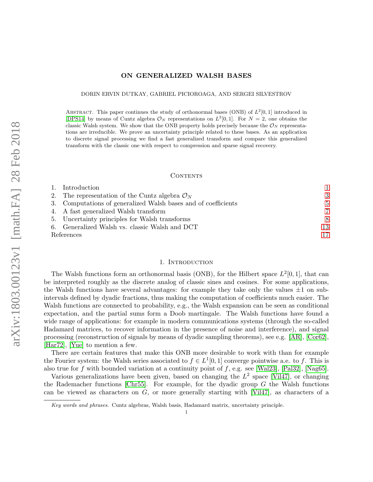# ON GENERALIZED WALSH BASES

DORIN ERVIN DUTKAY, GABRIEL PICIOROAGA, AND SERGEI SILVESTROV

ABSTRACT. This paper continues the study of orthonormal bases (ONB) of  $L^2[0,1]$  introduced in [\[DPS14\]](#page-16-0) by means of Cuntz algebra  $\mathcal{O}_N$  representations on  $L^2[0,1]$ . For  $N=2$ , one obtains the classic Walsh system. We show that the ONB property holds precisely because the  $\mathcal{O}_N$  representations are irreducible. We prove an uncertainty principle related to these bases. As an application to discrete signal processing we find a fast generalized transform and compare this generalized transform with the classic one with respect to compression and sparse signal recovery.

#### **CONTENTS**

|            | 1. Introduction                                                |    |
|------------|----------------------------------------------------------------|----|
|            | 2. The representation of the Cuntz algebra $\mathcal{O}_N$     | 3  |
|            | 3. Computations of generalized Walsh bases and of coefficients | 5  |
|            | 4. A fast generalized Walsh transform                          | 7  |
|            | 5. Uncertainty principles for Walsh transforms                 | -8 |
|            | 6. Generalized Walsh vs. classic Walsh and DCT                 | 13 |
| References | 17                                                             |    |

# 1. INTRODUCTION

<span id="page-0-0"></span>The Walsh functions form an orthonormal basis (ONB), for the Hilbert space  $L^2[0,1]$ , that can be interpreted roughly as the discrete analog of classic sines and cosines. For some applications, the Walsh functions have several advantages: for example they take only the values  $\pm 1$  on subintervals defined by dyadic fractions, thus making the computation of coefficients much easier. The Walsh functions are connected to probability, e.g., the Walsh expansion can be seen as conditional expectation, and the partial sums form a Doob martingale. The Walsh functions have found a wide range of applications: for example in modern communications systems (through the so-called Hadamard matrices, to recover information in the presence of noise and interference), and signal processing (reconstruction of signals by means of dyadic sampling theorems), see e.g. [\[AR\]](#page-16-2), [\[Cor62\]](#page-16-3), [\[Har72\]](#page-16-4), [\[Yue\]](#page-17-0) to mention a few.

There are certain features that make this ONB more desirable to work with than for example the Fourier system: the Walsh series associated to  $f \in L^1[0,1]$  converge pointwise a.e. to f. This is also true for f with bounded variation at a continuity point of f, e.g. see [\[Wal23\]](#page-17-1), [\[Pal32\]](#page-16-5), [\[Nag65\]](#page-16-6).

Various generalizations have been given, based on changing the  $L^2$  space [\[Vil47\]](#page-17-2), or changing the Rademacher functions [\[Chr55\]](#page-16-7). For example, for the dyadic group  $G$  the Walsh functions can be viewed as characters on G, or more generally starting with [\[Vil47\]](#page-17-2), as characters of a

Key words and phrases. Cuntz algebras, Walsh basis, Hadamard matrix, uncertainty principle.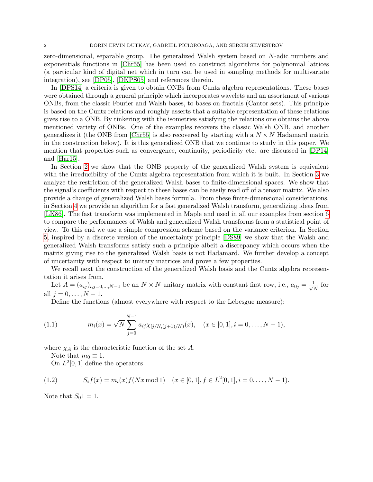zero-dimensional, separable group. The generalized Walsh system based on N-adic numbers and exponentials functions in [\[Chr55\]](#page-16-7) has been used to construct algorithms for polynomial lattices (a particular kind of digital net which in turn can be used in sampling methods for multivariate integration), see [\[DP05\]](#page-16-8), [\[DKPS05\]](#page-16-9) and references therein.

In [\[DPS14\]](#page-16-0) a criteria is given to obtain ONBs from Cuntz algebra representations. These bases were obtained through a general principle which incorporates wavelets and an assortment of various ONBs, from the classic Fourier and Walsh bases, to bases on fractals (Cantor sets). This principle is based on the Cuntz relations and roughly asserts that a suitable representation of these relations gives rise to a ONB. By tinkering with the isometries satisfying the relations one obtains the above mentioned variety of ONBs. One of the examples recovers the classic Walsh ONB, and another generalizes it (the ONB from [\[Chr55\]](#page-16-7) is also recovered by starting with a  $N \times N$  Hadamard matrix in the construction below). It is this generalized ONB that we continue to study in this paper. We mention that properties such as convergence, continuity, periodicity etc. are discussed in [\[DP14\]](#page-16-10) and [\[Har15\]](#page-16-11).

In Section [2](#page-2-0) we show that the ONB property of the generalized Walsh system is equivalent with the irreducibility of the Cuntz algebra representation from which it is built. In Section [3](#page-4-0) we analyze the restriction of the generalized Walsh bases to finite-dimensional spaces. We show that the signal's coefficients with respect to these bases can be easily read off of a tensor matrix. We also provide a change of generalized Walsh bases formula. From these finite-dimensional considerations, in Section [4](#page-6-0) we provide an algorithm for a fast generalized Walsh transform, generalizing ideas from [\[LK86\]](#page-16-12). The fast transform was implemented in Maple and used in all our examples from section [6](#page-12-0) to compare the performances of Walsh and generalized Walsh transforms from a statistical point of view. To this end we use a simple compression scheme based on the variance criterion. In Section [5,](#page-7-0) inspired by a discrete version of the uncertainty principle [\[DS89\]](#page-16-13) we show that the Walsh and generalized Walsh transforms satisfy such a principle albeit a discrepancy which occurs when the matrix giving rise to the generalized Walsh basis is not Hadamard. We further develop a concept of uncertainty with respect to unitary matrices and prove a few properties.

We recall next the construction of the generalized Walsh basis and the Cuntz algebra representation it arises from.

Let  $A = (a_{ij})_{i,j=0,\dots,N-1}$  be an  $N \times N$  unitary matrix with constant first row, i.e.,  $a_{0j} = \frac{1}{\sqrt{N}}$  $\frac{1}{\overline{N}}$  for all  $j = 0, \ldots, N - 1$ .

Define the functions (almost everywhere with respect to the Lebesgue measure):

(1.1) 
$$
m_i(x) = \sqrt{N} \sum_{j=0}^{N-1} a_{ij} \chi_{[j/N,(j+1)/N)}(x), \quad (x \in [0,1], i = 0, \ldots, N-1),
$$

where  $\chi_A$  is the characteristic function of the set A.

Note that  $m_0 \equiv 1$ .

<span id="page-1-0"></span>On  $L^2[0,1]$  define the operators

(1.2) 
$$
S_i f(x) = m_i(x) f(Nx \mod 1) \quad (x \in [0, 1], f \in L^2[0, 1], i = 0, ..., N - 1).
$$

Note that  $S_0 \mathbb{1} = 1$ .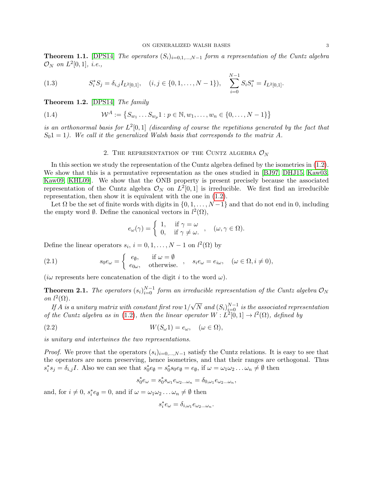**Theorem 1.1.** [\[DPS14\]](#page-16-0) The operators  $(S_i)_{i=0,1,\dots,N-1}$  form a representation of the Cuntz algebra  $\mathcal{O}_N$  on  $L^2[0,1]$ , i.e.,

(1.3) 
$$
S_i^* S_j = \delta_{i,j} I_{L^2[0,1]}, \quad (i,j \in \{0,1,\ldots,N-1\}), \quad \sum_{i=0}^{N-1} S_i S_i^* = I_{L^2[0,1]}.
$$

Theorem 1.2. [\[DPS14\]](#page-16-0) The family

(1.4) 
$$
\mathcal{W}^A := \{ S_{w_1} \dots S_{w_p} 1 : p \in \mathbb{N}, w_1, \dots, w_n \in \{0, \dots, N-1\} \}
$$

is an orthonormal basis for  $L^2[0,1]$  (discarding of course the repetitions generated by the fact that  $S_0$ 1 = 1). We call it the generalized Walsh basis that corresponds to the matrix A.

# 2. THE REPRESENTATION OF THE CUNTZ ALGEBRA  $\mathcal{O}_N$

<span id="page-2-0"></span>In this section we study the representation of the Cuntz algebra defined by the isometries in [\(1.2\)](#page-1-0). We show that this is a permutative representation as the ones studied in [\[BJ97,](#page-16-14) [DHJ15,](#page-16-15) [Kaw03,](#page-16-16) [Kaw09,](#page-16-17) [KHL09\]](#page-16-18). We show that the ONB property is present precisely because the associated representation of the Cuntz algebra  $\mathcal{O}_N$  on  $L^2[0,1]$  is irreducible. We first find an irreducible representation, then show it is equivalent with the one in [\(1.2\)](#page-1-0).

Let  $\Omega$  be the set of finite words with digits in  $\{0, 1, \ldots, N-1\}$  and that do not end in 0, including the empty word  $\emptyset$ . Define the canonical vectors in  $l^2(\Omega)$ ,

$$
e_{\omega}(\gamma) = \begin{cases} 1, & \text{if } \gamma = \omega \\ 0, & \text{if } \gamma \neq \omega. \end{cases}, \quad (\omega, \gamma \in \Omega).
$$

Define the linear operators  $s_i$ ,  $i = 0, 1, ..., N - 1$  on  $l^2(\Omega)$  by

(2.1) 
$$
s_0 e_\omega = \begin{cases} e_\emptyset, & \text{if } \omega = \emptyset \\ e_{0\omega}, & \text{otherwise.} \end{cases}, s_i e_\omega = e_{i\omega}, \quad (\omega \in \Omega, i \neq 0),
$$

(iw represents here concatenation of the digit i to the word  $\omega$ ).

<span id="page-2-1"></span>**Theorem 2.1.** The operators  $(s_i)_{i=0}^{N-1}$  form an irreducible representation of the Cuntz algebra  $\mathcal{O}_N$ on  $l^2(\Omega)$ . √

If A is a unitary matrix with constant first row  $1/$  $\overline{N}$  and  $(S_i)_{i=0}^{N-1}$  is the associated representation of the Cuntz algebra as in [\(1.2\)](#page-1-0), then the linear operator  $W: L^2[0,1] \to l^2(\Omega)$ , defined by

$$
(2.2) \t\t W(S_{\omega}1) = e_{\omega}, \quad (\omega \in \Omega),
$$

is unitary and intertwines the two representations.

*Proof.* We prove that the operators  $(s_i)_{i=0,\dots,N-1}$  satisfy the Cuntz relations. It is easy to see that the operators are norm preserving, hence isometries, and that their ranges are orthogonal. Thus  $s_i^* s_j = \delta_{i,j} I$ . Also we can see that  $s_0^* e_{\emptyset} = s_0^* s_0 e_{\emptyset} = e_{\emptyset}$ , if  $\omega = \omega_1 \omega_2 \dots \omega_n \neq \emptyset$  then

$$
s_0^*e_\omega=s_0^*s_{\omega_1}e_{\omega_2...\omega_n}=\delta_{0,\omega_1}e_{\omega_2...\omega_n},
$$

and, for  $i \neq 0$ ,  $s_i^* e_\emptyset = 0$ , and if  $\omega = \omega_1 \omega_2 \dots \omega_n \neq \emptyset$  then

$$
s_i^* e_\omega = \delta_{i,\omega_1} e_{\omega_2...\omega_n}.
$$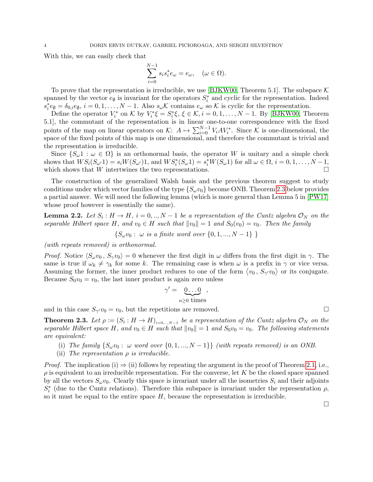With this, we can easily check that

$$
\sum_{i=0}^{N-1} s_i s_i^* e_\omega = e_\omega, \quad (\omega \in \Omega).
$$

To prove that the representation is irreducible, we use [\[BJKW00,](#page-16-19) Theorem 5.1]. The subspace  $\mathcal K$ spanned by the vector  $e_{\emptyset}$  is invariant for the operators  $S_i^*$  and cyclic for the representation. Indeed  $s_i^* e_{\emptyset} = \delta_{0,i} e_{\emptyset}, i = 0, 1, \ldots, N-1$ . Also  $s_{\omega} \mathcal{K}$  contains  $e_{\omega}$  so  $\mathcal{K}$  is cyclic for the representation.

Define the operator  $V_i^*$  on K by  $V_i^* \xi = S_i^* \xi$ ,  $\xi \in \mathcal{K}$ ,  $i = 0, 1, ..., N - 1$ . By [\[BJKW00,](#page-16-19) Theorem 5.1], the commutant of the representation is in linear one-to-one correspondence with the fixed points of the map on linear operators on  $\mathcal{K}: A \mapsto \sum_{i=0}^{N-1} V_i A V_i^*$ . Since  $\mathcal K$  is one-dimensional, the space of the fixed points of this map is one dimensional, and therefore the commutant is trivial and the representation is irreducible.

Since  $\{S_{\omega}1 : \omega \in \Omega\}$  is an orthonormal basis, the operator W is unitary and a simple check shows that  $WS_i(S_{\omega'}1) = s_i W(S_{\omega'})1$ , and  $WS_i^*(S_{\omega}1) = s_i^* W(S_{\omega}1)$  for all  $\omega \in \Omega$ ,  $i = 0, 1, ..., N - 1$ , which shows that  $W$  intertwines the two representations.  $\Box$ 

The construction of the generalized Walsh basis and the previous theorem suggest to study conditions under which vector families of the type  $\{S_{\omega}v_0\}$  become ONB. Theorem [2.3](#page-3-0) below provides a partial answer. We will need the following lemma (which is more general than Lemma 5 in [\[PW17\]](#page-17-3) whose proof however is essentially the same).

**Lemma 2.2.** Let  $S_i: H \to H$ ,  $i = 0, ..., N - 1$  be a representation of the Cuntz algebra  $\mathcal{O}_N$  on the separable Hilbert space H, and  $v_0 \in H$  such that  $||v_0|| = 1$  and  $S_0(v_0) = v_0$ . Then the family

 $\{S_{\omega}v_0: \omega \text{ is a finite word over } \{0,1,...,N-1\} \}$ 

(with repeats removed) is orthonormal.

*Proof.* Notice  $\langle S_{\omega}v_0, S_{\gamma}v_0 \rangle = 0$  whenever the first digit in  $\omega$  differs from the first digit in  $\gamma$ . The same is true if  $\omega_k \neq \gamma_k$  for some k. The remaining case is when  $\omega$  is a prefix in  $\gamma$  or vice versa. Assuming the former, the inner product reduces to one of the form  $\langle v_0, S_{\gamma'} v_0 \rangle$  or its conjugate. Because  $S_0v_0 = v_0$ , the last inner product is again zero unless

$$
\gamma' = \underbrace{0 \dots 0}_{n \ge 0 \text{ times}},
$$

and in this case  $S_{\gamma'}v_0 = v_0$ , but the repetitions are removed.

<span id="page-3-0"></span>**Theorem 2.3.** Let  $\rho := (S_i : H \to H)_{i=0,...,N-1}$  be a representation of the Cuntz algebra  $\mathcal{O}_N$  on the separable Hilbert space H, and  $v_0 \in H$  such that  $||v_0|| = 1$  and  $S_0v_0 = v_0$ . The following statements are equivalent:

- (i) The family  $\{S_{\omega}v_0: \omega \text{ word over } \{0, 1, ..., N-1\}\}$  (with repeats removed) is an ONB.
- (ii) The representation  $\rho$  is irreducible.

*Proof.* The implication (i)  $\Rightarrow$  (ii) follows by repeating the argument in the proof of Theorem [2.1,](#page-2-1) i.e.,  $\rho$  is equivalent to an irreducible representation. For the converse, let K be the closed space spanned by all the vectors  $S_{\omega}v_0$ . Clearly this space is invariant under all the isometries  $S_i$  and their adjoints  $S_i^*$  (due to the Cuntz relations). Therefore this subspace is invariant under the representation  $\rho$ , so it must be equal to the entire space  $H$ , because the representation is irreducible.

 $\Box$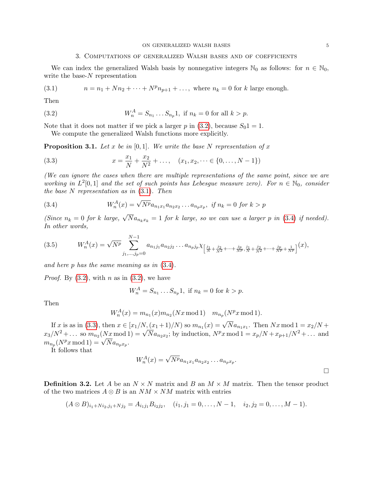# <span id="page-4-2"></span><span id="page-4-1"></span>3. Computations of generalized Walsh bases and of coefficients

<span id="page-4-0"></span>We can index the generalized Walsh basis by nonnegative integers  $\mathbb{N}_0$  as follows: for  $n \in \mathbb{N}_0$ , write the base- $N$  representation

(3.1) 
$$
n = n_1 + Nn_2 + \dots + N^p n_{p+1} + \dots
$$
, where  $n_k = 0$  for k large enough.

Then

(3.2) 
$$
W_n^A = S_{n_1} \dots S_{n_p} 1, \text{ if } n_k = 0 \text{ for all } k > p.
$$

Note that it does not matter if we pick a larger p in [\(3.2\)](#page-4-1), because  $S_01 = 1$ .

<span id="page-4-4"></span>We compute the generalized Walsh functions more explicitly.

<span id="page-4-5"></span>**Proposition 3.1.** Let x be in [0,1]. We write the base N representation of x

(3.3) 
$$
x = \frac{x_1}{N} + \frac{x_2}{N^2} + \dots, \quad (x_1, x_2, \dots \in \{0, \dots, N-1\})
$$

(We can ignore the cases when there are multiple representations of the same point, since we are working in  $L^2[0,1]$  and the set of such points has Lebesgue measure zero). For  $n \in \mathbb{N}_0$ , consider the base N representation as in  $(3.1)$ . Then

<span id="page-4-3"></span>(3.4) 
$$
W_n^A(x) = \sqrt{N^p} a_{n_1 x_1} a_{n_2 x_2} \dots a_{n_p x_p}, \text{ if } n_k = 0 \text{ for } k > p
$$

(Since  $n_k = 0$  for k large,  $\sqrt{N}a_{n_kx_k} = 1$  for k large, so we can use a larger p in [\(3.4\)](#page-4-3) if needed). In other words,

<span id="page-4-6"></span>
$$
(3.5) \t WnA(x) = \sqrt{Np} \sum_{j_1, \dots, j_p=0}^{N-1} a_{n_1 j_1} a_{n_2 j_2} \dots a_{n_p j_p} \chi_{\left[\frac{j_1}{N} + \frac{j_2}{N^2} + \dots + \frac{j_p}{N^p}, \frac{j_1}{N} + \frac{j_2}{N^2} + \dots + \frac{j_p}{N^p} + \frac{1}{N^p}\right]}(x),
$$

and here p has the same meaning as in [\(3.4\)](#page-4-3).

*Proof.* By  $(3.2)$ , with *n* as in  $(3.2)$ , we have

$$
W_n^A = S_{n_1} \dots S_{n_p} 1, \text{ if } n_k = 0 \text{ for } k > p.
$$

Then

$$
W_n^A(x) = m_{n_1}(x) m_{n_2}(Nx \mod 1) \quad m_{n_p}(N^p x \mod 1).
$$

If x is as in [\(3.3\)](#page-4-4), then  $x \in [x_1/N, (x_1+1)/N)$  so  $m_{n_1}(x) = \sqrt{N}a_{n_1x_1}$ . Then  $Nx \mod 1 = x_2/N +$ If x is as in (5.5), then  $x \in [x_1/N, (x_1+1)/N)$  so  $m_{n_1}(x) = \sqrt{N} a_{n_1x_1}$ . Then  $Nx \mod 1 = x_2/N +$ <br>  $x_3/N^2 + ...$  so  $m_{n_2}(Nx \mod 1) = \sqrt{N} a_{n_2x_2}$ ; by induction,  $N^p x \mod 1 = x_p/N + x_{p+1}/N^2 + ...$  and  $x_3/Y + \dots$  so  $m_{n_2}(Nx \mod 1)$ <br>  $m_{n_p}(N^px \mod 1) = \sqrt{N} a_{n_px_p}.$ 

It follows that

$$
W_n^A(x) = \sqrt{N^p} a_{n_1x_1} a_{n_2x_2} \dots a_{n_px_p}.
$$

**Definition 3.2.** Let A be an  $N \times N$  matrix and B an  $M \times M$  matrix. Then the tensor product of the two matrices  $A \otimes B$  is an  $NM \times NM$  matrix with entries

$$
(A \otimes B)_{i_1+Ni_2,j_1+Nj_2} = A_{i_1j_1}B_{i_2j_2}, \quad (i_1,j_1=0,\ldots,N-1, \quad i_2,j_2=0,\ldots,M-1).
$$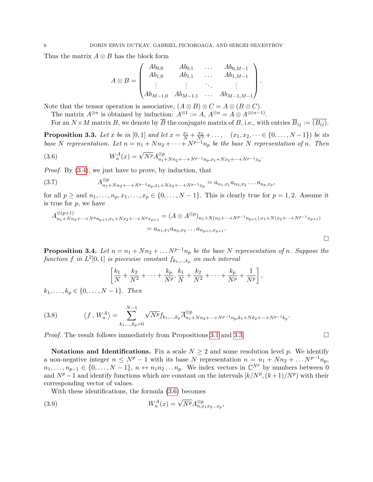Thus the matrix  $A \otimes B$  has the block form

$$
A \otimes B = \begin{pmatrix} Ab_{0,0} & Ab_{0,1} & \dots & Ab_{0,M-1} \\ Ab_{1,0} & Ab_{1,1} & \dots & Ab_{1,M-1} \\ \vdots & \vdots & \ddots & \vdots \\ Ab_{M-1,0} & Ab_{M-1,1} & \dots & Ab_{M-1,M-1} \end{pmatrix}.
$$

Note that the tensor operation is associative,  $(A \otimes B) \otimes C = A \otimes (B \otimes C)$ .

The matrix  $A^{\otimes n}$  is obtained by induction:  $A^{\otimes 1} := A, A^{\otimes n} = A \otimes A^{\otimes (n-1)}$ .

For an  $N \times M$  matrix B, we denote by  $\overline{B}$  the conjugate matrix of B, i.e., with entries  $\overline{B}_{ij} := \overline{(B_{ij})}$ .

<span id="page-5-0"></span>**Proposition 3.3.** Let x be in [0, 1] and let  $x = \frac{x_1}{N} + \frac{x_2}{N^2} + \ldots$ ,  $(x_1, x_2, \dots \in \{0, \dots, N-1\})$  be its base N representation. Let  $n = n_1 + Nn_2 + \cdots + N^{p-1}n_p$  be the base N representation of n. Then

<span id="page-5-1"></span>(3.6) 
$$
W_n^A(x) = \sqrt{N^p} A_{n_1 + Nn_2 + \dots + N^{p-1}n_p, x_1 + Nx_2 + \dots + N^{p-1}x_p}^{\otimes p}.
$$

Proof. By [\(3.4\)](#page-4-3), we just have to prove, by induction, that

(3.7) 
$$
A_{n_1+Nn_2+\cdots+N^{p-1}n_p,x_1+Nx_2+\cdots+N^{p-1}x_p}^{\otimes p} = a_{n_1,x_1}a_{n_2,x_2}\ldots a_{n_p,x_p},
$$

for all  $p \geq$  and  $n_1, \ldots, n_p, x_1, \ldots, x_p \in \{0, \ldots, N-1\}$ . This is clearly true for  $p = 1, 2$ . Assume it is true for  $p$ , we have

$$
A_{n_1+Nn_2+\cdots+N^p n_{p+1},x_1+Nx_2+\cdots+N^p x_{p+1}}^{\otimes (p+1)} = (A \otimes A^{\otimes p})_{n_1+N(n_2+\cdots+N^{p-1} n_{p+1}),x_1+N(x_2+\cdots+N^{p-1} x_{p+1})}
$$
  
=  $a_{n_1,x_1} a_{n_2,x_2} \dots a_{n_{p+1},x_{p+1}}.$ 

<span id="page-5-3"></span>**Proposition 3.4.** Let  $n = n_1 + Nn_2 + \ldots N^{p-1}n_p$  be the base N representation of n. Suppose the function f in  $L^2[0,1]$  is piecewise constant  $f_{k_1,\dots,k_p}$  on each interval

$$
\left[\frac{k_1}{N} + \frac{k_2}{N^2} + \cdots + \frac{k_p}{N^p}, \frac{k_1}{N} + \frac{k_2}{N^2} + \cdots + \frac{k_p}{N^p} + \frac{1}{N^p}\right],
$$

 $k_1, \ldots, k_p \in \{0, \ldots, N-1\}$ . Then

<span id="page-5-2"></span>(3.8) 
$$
\langle f, W_n^A \rangle = \sum_{k_1, ..., k_p=0}^{N-1} \sqrt{N^p} f_{k_1, ..., k_p} \overline{A}_{n_1+Nn_2+...+N^{p-1}n_p, k_1+Nk_2+...+N^{p-1}k_p}^{op}.
$$

*Proof.* The result follows immediately from Propositions [3.1](#page-4-5) and [3.3.](#page-5-0)

Notations and Identifications. Fix a scale  $N \geq 2$  and some resolution level p. We identify a non-negative integer  $n \leq N^p - 1$  with its base N representation  $n = n_1 + Nn_2 + \ldots N^{p-1}n_p$ ,  $n_1, \ldots, n_{p-1} \in \{0, \ldots, N-1\}, n \leftrightarrow n_1 n_2 \ldots n_p$ . We index vectors in  $\mathbb{C}^{N^p}$  by numbers between 0 and  $N^p-1$  and identify functions which are constant on the intervals  $\left\lfloor k/N^p,(k+1)/N^p\right\rfloor$  with their corresponding vector of values.

With these identifications, the formula [\(3.6\)](#page-5-1) becomes

(3.9) 
$$
W_n^A(x) = \sqrt{N^p} A_{n, x_1 x_2 ... x_p}^{\otimes p},
$$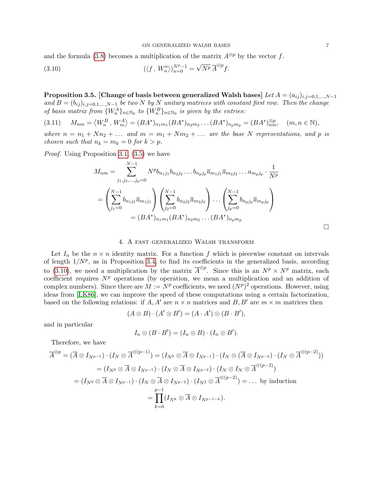and the formula [\(3.8\)](#page-5-2) becomes a multiplication of the matrix  $A^{\otimes p}$  by the vector f.

<span id="page-6-1"></span>(3.10) 
$$
(\langle f, W_n^a \rangle)_{n=0}^{N^p-1} = \sqrt{N^p} \overline{A}^{\otimes p} f.
$$

<span id="page-6-2"></span>Proposition 3.5. [Change of basis between generalized Walsh bases] Let  $A = (a_{ij})_{i,j=0,1,\dots,N-1}$ and  $B = (b_{ij})_{i,j=0,1,\dots,N-1}$  be two N by N unitary matrices with constant first row. Then the change of basis matrix from  $\{W_n^A\}_{n\in\mathbb{N}_0}$  to  $\{W_n^B\}_{n\in\mathbb{N}_0}$  is given by the entries:

(3.11)  $M_{nm} = \langle W_n^B, W_m^A \rangle = (BA^*)_{n_1m_1}(BA^*)_{n_2m_2} \dots (BA^*)_{n_pm_p} = (BA^*)_{nm}^{\otimes p}, \quad (m, n \in \mathbb{N}),$ 

where  $n = n_1 + Nn_2 + \dots$  and  $m = m_1 + Nm_2 + \dots$  are the base N representations, and p is chosen such that  $n_k = m_k = 0$  for  $k > p$ .

Proof. Using Proposition [3.1,](#page-4-5) [\(3.5\)](#page-4-6) we have

$$
M_{nm} = \sum_{j_1, j_2, \dots, j_p=0}^{N-1} N^p b_{n_1 j_1} b_{n_2 j_2} \dots b_{n_p j_p} \overline{a}_{m_1 j_1} \overline{a}_{m_2 j_2} \dots a_{m_p j_p} \cdot \frac{1}{N^p}
$$
  
= 
$$
\left(\sum_{j_1=0}^{N-1} b_{n_1 j_1} \overline{a}_{m_1 j_1}\right) \left(\sum_{j_2=0}^{N-1} b_{n_2 j_2} \overline{a}_{m_2 j_2}\right) \dots \left(\sum_{j_p=0}^{N-1} b_{n_p j_p} \overline{a}_{m_p j_p}\right)
$$
  
= 
$$
(BA^*)_{n_1 m_1} (BA^*)_{n_2 m_2} \dots (BA^*)_{n_p m_p}
$$

### 4. A fast generalized Walsh transform

<span id="page-6-0"></span>Let  $I_n$  be the  $n \times n$  identity matrix. For a function f which is piecewise constant on intervals of length  $1/N^p$ , as in Proposition [3.4,](#page-5-3) to find its coefficients in the generalized basis, according to [\(3.10\)](#page-6-1), we need a multiplication by the matrix  $\overline{A}^{\otimes p}$ . Since this is an  $N^p \times N^p$  matrix, each coefficient requires  $N^p$  operations (by operation, we mean a multiplication and an addition of complex numbers). Since there are  $M := N^p$  coefficients, we need  $(N^p)^2$  operations. However, using ideas from [\[LK86\]](#page-16-12), we can improve the speed of these computations using a certain factorization, based on the following relations: if A, A' are  $n \times n$  matrices and B, B' are  $m \times m$  matrices then

$$
(A \otimes B) \cdot (A' \otimes B') = (A \cdot A') \otimes (B \cdot B'),
$$

and in particular

$$
I_n \otimes (B \cdot B') = (I_n \otimes B) \cdot (I_n \otimes B').
$$

Therefore, we have

$$
\overline{A}^{\otimes p} = (\overline{A} \otimes I_{N^{p-1}}) \cdot (I_N \otimes \overline{A}^{\otimes (p-1)}) = (I_{N^0} \otimes \overline{A} \otimes I_{N^{p-1}}) \cdot (I_N \otimes (\overline{A} \otimes I_{N^{p-2}}) \cdot (I_N \otimes \overline{A}^{\otimes (p-2)}))
$$
  
\n
$$
= (I_{N^0} \otimes \overline{A} \otimes I_{N^{p-1}}) \cdot (I_N \otimes \overline{A} \otimes I_{N^{p-2}}) \cdot (I_N \otimes I_N \otimes \overline{A}^{\otimes (p-2)})
$$
  
\n
$$
= (I_{N^0} \otimes \overline{A} \otimes I_{N^{p-1}}) \cdot (I_N \otimes \overline{A} \otimes I_{N^{p-2}}) \cdot (I_{N^2} \otimes \overline{A}^{\otimes (p-2)}) = \dots \text{ by induction}
$$
  
\n
$$
= \prod_{k=0}^{p-1} (I_{N^k} \otimes \overline{A} \otimes I_{N^{p-1-k}}).
$$

 $\Box$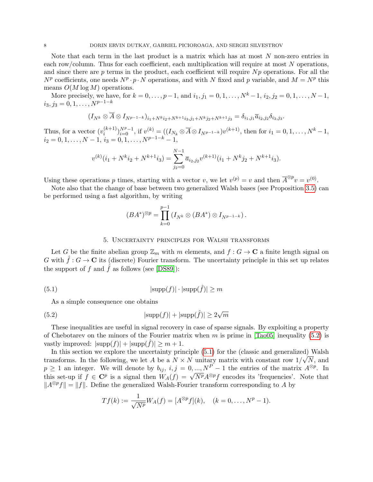Note that each term in the last product is a matrix which has at most  $N$  non-zero entries in each row/column. Thus for each coefficient, each multiplication will require at most N operations, and since there are  $p$  terms in the product, each coefficient will require  $Np$  operations. For all the  $N^p$  coefficients, one needs  $N^p \cdot p \cdot N$  operations, and with N fixed and p variable, and  $M = N^p$  this means  $O(M \log M)$  operations.

More precisely, we have, for  $k = 0, \ldots, p-1$ , and  $i_1, j_1 = 0, 1, \ldots, N^k - 1$ ,  $i_2, j_2 = 0, 1, \ldots, N - 1$ ,  $i_3, j_3 = 0, 1, \ldots, N^{p-1-k}$ 

$$
(I_{N^k} \otimes \overline{A} \otimes I_{N^{p-1-k}})_{i_1+N^{k}i_2+N^{k+1}i_3,j_1+N^{k}j_2+N^{k+1}j_3} = \delta_{i_1,j_1} \overline{a}_{i_2,j_2} \delta_{i_3,j_3}.
$$

Thus, for a vector  $(v_i^{(k+1)})$  $\binom{(k+1)}{i}^{N^p-1}_{i=0}$ , if  $v^{(k)} = ((I_{N_k} \otimes \overline{A} \otimes I_{N^{p-1-k}})v^{(k+1)},$  then for  $i_1 = 0, 1, ..., N^k-1$ ,  $i_2 = 0, 1, \ldots, N - 1, i_3 = 0, 1, \ldots, N^{p-1-k} - 1,$ 

$$
v^{(k)}(i_1 + N^k i_2 + N^{k+1} i_3) = \sum_{j_2=0}^{N-1} \overline{a}_{i_2, j_2} v^{(k+1)}(i_1 + N^k j_2 + N^{k+1} i_3).
$$

Using these operations p times, starting with a vector v, we let  $v^{(p)} = v$  and then  $\overline{A}^{\otimes p}v = v^{(0)}$ .

Note also that the change of base between two generalized Walsh bases (see Proposition [3.5\)](#page-6-2) can be performed using a fast algorithm, by writing

$$
(BA^*)^{\otimes p} = \prod_{k=0}^{p-1} (I_{N^k} \otimes (BA^*) \otimes I_{N^{p-1-k}}).
$$

### <span id="page-7-2"></span><span id="page-7-1"></span>5. Uncertainty principles for Walsh transforms

<span id="page-7-0"></span>Let G be the finite abelian group  $\mathbb{Z}_m$  with m elements, and  $f: G \to \mathbb{C}$  a finite length signal on G with  $\hat{f}: G \to \mathbf{C}$  its (discrete) Fourier transform. The uncertainty principle in this set up relates the support of f and  $\hat{f}$  as follows (see [\[DS89\]](#page-16-13)):

$$
|\text{supp}(f)| \cdot |\text{supp}(\hat{f})| \ge m
$$

As a simple consequence one obtains

(5.2) 
$$
|\text{supp}(f)| + |\text{supp}(\hat{f})| \ge 2\sqrt{m}
$$

These inequalities are useful in signal recovery in case of sparse signals. By exploiting a property of Chebotarev on the minors of the Fourier matrix when m is prime in  $[Ta<sub>005</sub>]$  inequality [\(5.2\)](#page-7-1) is vastly improved:  $|\text{supp}(f)| + |\text{supp}(\tilde{f})| \geq m + 1$ .

In this section we explore the uncertainty principle  $(5.1)$  for the (classic and generalized) Walsh transforms. In the following, we let A be a  $N \times N$  unitary matrix with constant row  $1/\sqrt{N}$ , and  $p \ge 1$  an integer. We will denote by  $b_{ij}, i, j = 0, ..., N^P - 1$  the entries of the matrix  $A^{\otimes p}$ . In  $p \geq 1$  an integer. We win denote by  $v_{ij}$ ,  $i, j = 0, ..., N-1$  the entries of the matrix  $A^{-1}$ . In this set-up if  $f \in \mathbb{C}^p$  is a signal then  $W_A(f) = \sqrt{N^p} A^{\otimes p} f$  encodes its 'frequencies'. Note that  $||A^{\otimes p}f|| = ||f||$ . Define the generalized Walsh-Fourier transform corresponding to A by

$$
Tf(k) := \frac{1}{\sqrt{N^p}} W_A(f) = [A^{\otimes p} f](k), \quad (k = 0, \dots, N^p - 1).
$$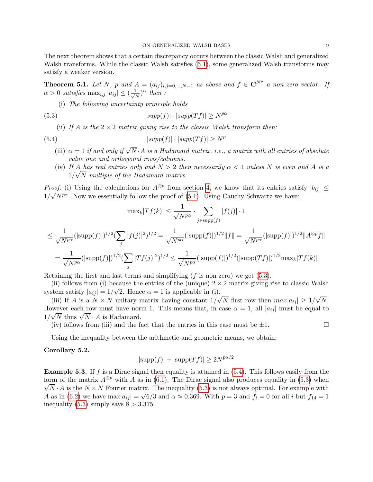The next theorem shows that a certain discrepancy occurs between the classic Walsh and generalized Walsh transforms. While the classic Walsh satisfies [\(5.1\)](#page-7-2), some generalized Walsh transforms may satisfy a weaker version.

<span id="page-8-2"></span>**Theorem 5.1.** Let N, p and  $A = (a_{ij})_{i,j=0,\dots,N-1}$  as above and  $f \in \mathbb{C}^{N^p}$  a non zero vector. If  $\alpha > 0$  satisfies  $\max_{i,j} |a_{ij}| \leq (\frac{1}{\sqrt{n}})$  $\frac{1}{N}$ )<sup> $\alpha$ </sup> then :

<span id="page-8-0"></span>(i) The following uncertainty principle holds

(5.3) 
$$
|supp(f)| \cdot |supp(Tf)| \ge N^{p\alpha}
$$

<span id="page-8-1"></span>(ii) If A is the  $2 \times 2$  matrix giving rise to the classic Walsh transform then:

(5.4) 
$$
|supp(f)| \cdot |supp(Tf)| \ge N^p
$$

j

- (iii)  $\alpha = 1$  if and only if  $\sqrt{N} \cdot A$  is a Hadamard matrix, i.e., a matrix with all entries of absolute value one and orthogonal rows/columns.
- (iv) If A has real entries only and  $N > 2$  then necessarily  $\alpha < 1$  unless N is even and A is a  $1/\sqrt{N}$  multiple of the Hadamard matrix.

*Proof.* (i) Using the calculations for  $A^{\otimes p}$  from section [4,](#page-6-0) we know that its entries satisfy  $|b_{ij}| \leq$  $1/\sqrt{N^{p\alpha}}$ . Now we essentially follow the proof of [\(5.1\)](#page-7-2). Using Cauchy-Schwartz we have:

$$
\max_{k} |Tf(k)| \leq \frac{1}{\sqrt{N^{p\alpha}}} \cdot \sum_{j \in \text{supp}(f)} |f(j)| \cdot 1
$$
  

$$
\leq \frac{1}{\sqrt{N^{p\alpha}}} (|\text{supp}(f)|)^{1/2} (\sum_{j} |f(j)|^{2})^{1/2} = \frac{1}{\sqrt{N^{p\alpha}}} (|\text{supp}(f)|)^{1/2} ||f|| = \frac{1}{\sqrt{N^{p\alpha}}} (|\text{supp}(f)|)^{1/2} ||A^{\otimes p}f||
$$
  

$$
= \frac{1}{\sqrt{N^{p\alpha}}} (|\text{supp}(f)|)^{1/2} (\sum_{j} |Tf(j)|^{2})^{1/2} \leq \frac{1}{\sqrt{N^{p\alpha}}} (|\text{supp}(f)|)^{1/2} (|\text{supp}(Tf)|)^{1/2} \max_{k} |Tf(k)|
$$

Retaining the first and last terms and simplifying  $(f \text{ is non zero})$  we get  $(5.3)$ .

(ii) follows from (i) because the entries of the (unique)  $2 \times 2$  matrix giving rise to classic Walsh system satisfy  $|a_{ij}| = 1/\sqrt{2}$ . Hence  $\alpha = 1$  is applicable in (i). √ √

(iii) If A is a  $N \times N$  unitary matrix having constant  $1/$ N first row then  $max|a_{ij}| \geq 1/$ N. However each row must have norm 1. This means that, in case  $\alpha = 1$ , all  $|a_{ij}|$  must be equal to However each flow must have not<br> $1/\sqrt{N}$  thus  $\sqrt{N} \cdot A$  is Hadamard.

(iv) follows from (iii) and the fact that the entries in this case must be  $\pm 1$ .

Using the inequality between the arithmetic and geometric means, we obtain:

# Corollary 5.2.

$$
|\text{supp}(f)| + |\text{supp}(Tf)| \ge 2N^{p\alpha/2}
$$

**Example 5.3.** If f is a Dirac signal then equality is attained in  $(5.4)$  $(5.4)$ . This follows easily from the form of the matrix  $A^{\otimes p}$  with A as in [\(6.1\)](#page-12-1). The Dirac signal also produces equality in [\(5.3\)](#page-8-0) when  $N \cdot A$  is the  $N \times N$  Fourier matrix. The inequality [\(5.3\)](#page-8-0) is not always optimal. For example with A as in [\(6.2\)](#page-14-0) we have  $\max|a_{ij}| = \sqrt{6}/3$  and  $\alpha \approx 0.369$ . With  $p = 3$  and  $f_i = 0$  for all i but  $f_{14} = 1$ inequality [\(5.3\)](#page-8-0) simply says  $8 > 3.375$ .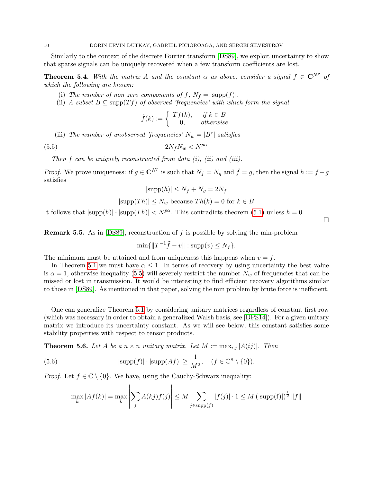Similarly to the context of the discrete Fourier transform [\[DS89\]](#page-16-13), we exploit uncertainty to show that sparse signals can be uniquely recovered when a few transform coefficients are lost.

**Theorem 5.4.** With the matrix A and the constant  $\alpha$  as above, consider a signal  $f \in \mathbb{C}^{N^p}$  of which the following are known:

- (i) The number of non zero components of f,  $N_f = |\text{supp}(f)|$ .
- (ii) A subset  $B \subseteq \text{supp}(Tf)$  of observed 'frequencies' with which form the signal

<span id="page-9-0"></span>
$$
\tilde{f}(k) := \begin{cases}\nTf(k), & \text{if } k \in B \\
0, & \text{otherwise}\n\end{cases}
$$

(iii) The number of unobserved 'frequencies'  $N_w = |B^c|$  satisfies

(5.5)  $2N_fN_w < N^{p\alpha}$ 

Then  $f$  can be uniquely reconstructed from data  $(i)$ ,  $(ii)$  and  $(iii)$ .

*Proof.* We prove uniqueness: if  $g \in \mathbb{C}^{N^p}$  is such that  $N_f = N_g$  and  $\tilde{f} = \tilde{g}$ , then the signal  $h := f - g$ satisfies

$$
|\text{supp}(h)| \le N_f + N_g = 2N_f
$$

$$
|\text{supp}(Th)| \leq N_w
$$
 because  $Th(k) = 0$  for  $k \in B$ 

 $\Box$ 

It follows that  $|\text{supp}(h)| \cdot |\text{supp}(Th)| < N^{p\alpha}$ . This contradicts theorem [\(5.1\)](#page-8-2) unless  $h = 0$ .

Remark 5.5. As in [\[DS89\]](#page-16-13), reconstruction of f is possible by solving the min-problem

$$
\min\{\|T^{-1}\tilde{f} - v\| : \operatorname{supp}(v) \le N_f\}.
$$

The minimum must be attained and from uniqueness this happens when  $v = f$ .

In Theorem [5.1](#page-8-2) we must have  $\alpha \leq 1$ . In terms of recovery by using uncertainty the best value is  $\alpha = 1$ , otherwise inequality [\(5.5\)](#page-9-0) will severely restrict the number  $N_w$  of frequencies that can be missed or lost in transmission. It would be interesting to find efficient recovery algorithms similar to those in [\[DS89\]](#page-16-13). As mentioned in that paper, solving the min problem by brute force is inefficient.

One can generalize Theorem [5.1](#page-8-2) by considering unitary matrices regardless of constant first row (which was necessary in order to obtain a generalized Walsh basis, see [\[DPS14\]](#page-16-0)). For a given unitary matrix we introduce its uncertainty constant. As we will see below, this constant satisfies some stability properties with respect to tensor products.

<span id="page-9-2"></span>**Theorem 5.6.** Let A be a  $n \times n$  unitary matrix. Let  $M := \max_{i,j} |A(ij)|$ . Then

(5.6) 
$$
|\text{supp}(f)| \cdot |\text{supp}(Af)| \ge \frac{1}{M^2}, \quad (f \in \mathbb{C}^n \setminus \{0\}).
$$

*Proof.* Let  $f \in \mathbb{C} \setminus \{0\}$ . We have, using the Cauchy-Schwarz inequality:

<span id="page-9-1"></span>
$$
\max_{k} |Af(k)| = \max_{k} \left| \sum_{j} A(kj) f(j) \right| \leq M \sum_{j \in \text{supp}(f)} |f(j)| \cdot 1 \leq M \left( |\text{supp}(f)| \right)^{\frac{1}{2}} \|f\|
$$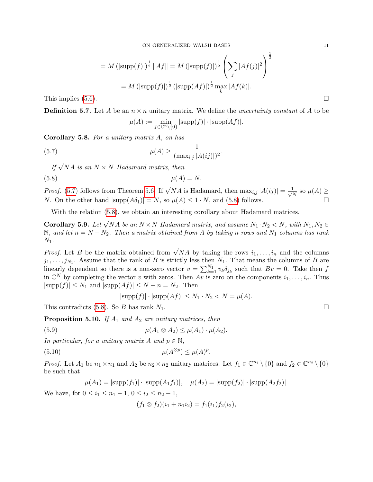$$
= M \left( |\text{supp}(f)| \right)^{\frac{1}{2}} \|Af\| = M \left( |\text{supp}(f)| \right)^{\frac{1}{2}} \left( \sum_{j} |Af(j)|^2 \right)^{\frac{1}{2}}
$$

$$
= M \left( |\text{supp}(f)| \right)^{\frac{1}{2}} \left( |\text{supp}(Af)| \right)^{\frac{1}{2}} \max_{k} |Af(k)|.
$$

<span id="page-10-1"></span>.

This implies  $(5.6)$ .

**Definition 5.7.** Let A be an  $n \times n$  unitary matrix. We define the *uncertainty constant* of A to be

<span id="page-10-0"></span>
$$
\mu(A) := \min_{f \in \mathbb{C}^n \setminus \{0\}} |\text{supp}(f)| \cdot |\text{supp}(Af)|.
$$

Corollary 5.8. For a unitary matrix A, on has

(5.7) 
$$
\mu(A) \ge \frac{1}{(\max_{i,j} |A(ij)|)^2}
$$

If  $\sqrt{N}A$  is an  $N \times N$  Hadamard matrix, then

$$
\mu(A) = N.
$$

*Proof.* [\(5.7\)](#page-10-0) follows from Theorem [5.6.](#page-9-2) If  $\sqrt{N}A$  is Hadamard, then  $\max_{i,j}|A(ij)| = \frac{1}{\sqrt{N}}$  $\frac{1}{N}$  so  $\mu(A) \ge$ N. On the other hand  $|\text{supp}(A\delta_1)| = N$ , so  $\mu(A) \leq 1 \cdot N$ , and [\(5.8\)](#page-10-1) follows.

With the relation  $(5.8)$ , we obtain an interesting corollary about Hadamard matrices.

**Corollary 5.9.** Let  $\sqrt{N}A$  be an  $N \times N$  Hadamard matrix, and assume  $N_1 \cdot N_2 < N$ , with  $N_1, N_2 \in$ N, and let  $n = N - N_2$ . Then a matrix obtained from A by taking n rows and N<sub>1</sub> columns has rank  $N_1$ .

*Proof.* Let B be the matrix obtained from  $\sqrt{N}A$  by taking the rows  $i_1, \ldots, i_n$  and the columns  $j_1, \ldots, j_{N_1}$ . Assume that the rank of B is strictly less then  $N_1$ . That means the columns of B are linearly dependent so there is a non-zero vector  $v = \sum_{k=1}^{N_1} v_k \delta_{j_k}$  such that  $Bv = 0$ . Take then f in  $\mathbb{C}^N$  by completing the vector v with zeros. Then  $Av$  is zero on the components  $i_1, \ldots, i_n$ . Thus  $|\text{supp}(f)| \leq N_1$  and  $|\text{supp}(Af)| \leq N - n = N_2$ . Then

<span id="page-10-3"></span>
$$
|\text{supp}(f)| \cdot |\text{supp}(Af)| \le N_1 \cdot N_2 < N = \mu(A).
$$

This contradicts [\(5.8\)](#page-10-1). So B has rank  $N_1$ .

<span id="page-10-4"></span>**Proposition 5.10.** If  $A_1$  and  $A_2$  are unitary matrices, then

$$
\mu(A_1 \otimes A_2) \leq \mu(A_1) \cdot \mu(A_2).
$$

In particular, for a unitary matrix A and  $p \in \mathbb{N}$ ,

$$
\mu(A^{\otimes p}) \le \mu(A)^p.
$$

*Proof.* Let  $A_1$  be  $n_1 \times n_1$  and  $A_2$  be  $n_2 \times n_2$  unitary matrices. Let  $f_1 \in \mathbb{C}^{n_1} \setminus \{0\}$  and  $f_2 \in \mathbb{C}^{n_2} \setminus \{0\}$ be such that

$$
\mu(A_1) = |\text{supp}(f_1)| \cdot |\text{supp}(A_1 f_1)|, \quad \mu(A_2) = |\text{supp}(f_2)| \cdot |\text{supp}(A_2 f_2)|.
$$

We have, for  $0 \le i_1 \le n_1 - 1$ ,  $0 \le i_2 \le n_2 - 1$ ,

<span id="page-10-2"></span>
$$
(f_1 \otimes f_2)(i_1 + n_1 i_2) = f_1(i_1) f_2(i_2),
$$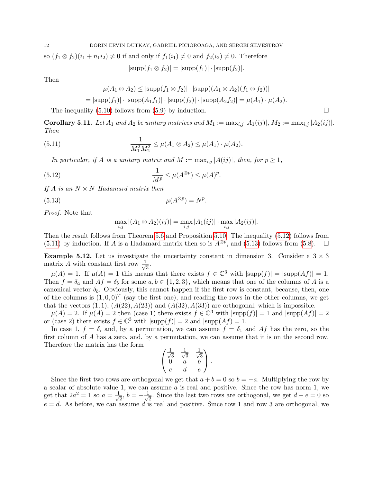so  $(f_1 \otimes f_2)(i_1 + n_1 i_2) \neq 0$  if and only if  $f_1(i_1) \neq 0$  and  $f_2(i_2) \neq 0$ . Therefore

 $|\text{supp}(f_1 \otimes f_2)| = |\text{supp}(f_1)| \cdot |\text{supp}(f_2)|.$ 

Then

$$
\mu(A_1 \otimes A_2) \leq |\text{supp}(f_1 \otimes f_2)| \cdot |\text{supp}((A_1 \otimes A_2)(f_1 \otimes f_2))|
$$

<span id="page-11-1"></span>
$$
= |\text{supp}(f_1)| \cdot |\text{supp}(A_1 f_1)| \cdot |\text{supp}(f_2)| \cdot |\text{supp}(A_2 f_2)| = \mu(A_1) \cdot \mu(A_2).
$$

The inequality  $(5.10)$  follows from  $(5.9)$  by induction.

**Corollary 5.11.** Let  $A_1$  and  $A_2$  be unitary matrices and  $M_1 := \max_{i,j} |A_1(ij)|$ ,  $M_2 := \max_{i,j} |A_2(ij)|$ . Then

(5.11) 
$$
\frac{1}{M_1^2 M_2^2} \leq \mu(A_1 \otimes A_2) \leq \mu(A_1) \cdot \mu(A_2).
$$

In particular, if A is a unitary matrix and  $M := \max_{i,j} |A(ij)|$ , then, for  $p \geq 1$ ,

(5.12) 
$$
\frac{1}{M^p} \le \mu(A^{\otimes p}) \le \mu(A)^p.
$$

If  $A$  is an  $N \times N$  Hadamard matrix then

$$
\mu(A^{\otimes p}) = N^p.
$$

Proof. Note that

<span id="page-11-2"></span><span id="page-11-0"></span>
$$
\max_{i,j} |(A_1 \otimes A_2)(ij)| = \max_{i,j} |A_1(ij)| \cdot \max_{i,j} |A_2(ij)|.
$$

Then the result follows from Theorem [5.6](#page-9-2) and Proposition [5.10.](#page-10-4) The inequality [\(5.12\)](#page-11-0) follows from [\(5.11\)](#page-11-1) by induction. If A is a Hadamard matrix then so is  $A^{\otimes p}$ , and [\(5.13\)](#page-11-2) follows from [\(5.8\)](#page-10-1). □

**Example 5.12.** Let us investigate the uncertainty constant in dimension 3. Consider a  $3 \times 3$ matrix A with constant first row  $\frac{1}{\sqrt{2}}$  $\frac{1}{3}$ .

 $\mu(A) = 1$ . If  $\mu(A) = 1$  this means that there exists  $f \in \mathbb{C}^3$  with  $|\text{supp}(f)| = |\text{supp}(Af)| = 1$ . Then  $f = \delta_a$  and  $Af = \delta_b$  for some  $a, b \in \{1, 2, 3\}$ , which means that one of the columns of A is a canonical vector  $\delta_b$ . Obviously, this cannot happen if the first row is constant, because, then, one of the columns is  $(1, 0, 0)^T$  (say the first one), and reading the rows in the other columns, we get that the vectors  $(1, 1)$ ,  $(A(22), A(23))$  and  $(A(32), A(33))$  are orthogonal, which is impossible.

 $\mu(A) = 2$ . If  $\mu(A) = 2$  then (case 1) there exists  $f \in \mathbb{C}^3$  with  $|\text{supp}(f)| = 1$  and  $|\text{supp}(Af)| = 2$ or (case 2) there exists  $f \in \mathbb{C}^3$  with  $|\text{supp}(f)| = 2$  and  $|\text{supp}(Af)| = 1$ .

In case 1,  $f = \delta_i$  and, by a permutation, we can assume  $f = \delta_1$  and Af has the zero, so the first column of A has a zero, and, by a permutation, we can assume that it is on the second row. Therefore the matrix has the form

$$
\begin{pmatrix}\n\frac{1}{\sqrt{3}} & \frac{1}{\sqrt{3}} & \frac{1}{\sqrt{3}} \\
0 & a & b \\
c & d & e\n\end{pmatrix}.
$$

Since the first two rows are orthogonal we get that  $a + b = 0$  so  $b = -a$ . Multiplying the row by a scalar of absolute value 1, we can assume  $a$  is real and positive. Since the row has norm 1, we get that  $2a^2 = 1$  so  $a = \frac{1}{\sqrt{2}}$  $\frac{1}{2},\, b=-\frac{1}{\sqrt{2}}$  $\frac{1}{2}$ . Since the last two rows are orthogonal, we get  $d - e = 0$  so  $e = d$ . As before, we can assume d is real and positive. Since row 1 and row 3 are orthogonal, we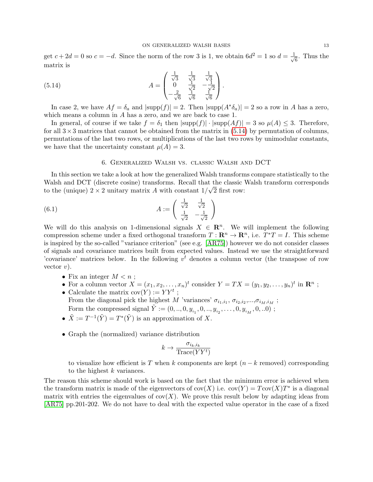get  $c + 2d = 0$  so  $c = -d$ . Since the norm of the row 3 is 1, we obtain  $6d^2 = 1$  so  $d = \frac{1}{d}$  $\frac{1}{6}$ . Thus the matrix is

(5.14) 
$$
A = \begin{pmatrix} \frac{1}{\sqrt{3}} & \frac{1}{\sqrt{3}} & \frac{1}{\sqrt{3}} \\ 0 & \frac{1}{\sqrt{2}} & -\frac{1}{\sqrt{2}} \\ -\frac{2}{\sqrt{6}} & \frac{1}{\sqrt{6}} & \frac{1}{\sqrt{6}} \end{pmatrix}.
$$

In case 2, we have  $Af = \delta_a$  and  $|\text{supp}(f)| = 2$ . Then  $|\text{supp}(A^*\delta_a)| = 2$  so a row in A has a zero, which means a column in A has a zero, and we are back to case 1.

In general, of course if we take  $f = \delta_1$  then  $|\text{supp}(f)| \cdot |\text{supp}(Af)| = 3$  so  $\mu(A) \leq 3$ . Therefore, for all  $3\times3$  matrices that cannot be obtained from the matrix in [\(5.14\)](#page-12-2) by permutation of columns, permutations of the last two rows, or multiplications of the last two rows by unimodular constants, we have that the uncertainty constant  $\mu(A) = 3$ .

## <span id="page-12-2"></span><span id="page-12-1"></span>6. Generalized Walsh vs. classic Walsh and DCT

<span id="page-12-0"></span>In this section we take a look at how the generalized Walsh transforms compare statistically to the Walsh and DCT (discrete cosine) transforms. Recall that the classic Walsh transform corresponds to the (unique)  $2 \times 2$  unitary matrix A with constant  $1/\sqrt{2}$  first row:

(6.1) 
$$
A := \begin{pmatrix} \frac{1}{\sqrt{2}} & \frac{1}{\sqrt{2}} \\ \frac{1}{\sqrt{2}} & -\frac{1}{\sqrt{2}} \end{pmatrix}
$$

We will do this analysis on 1-dimensional signals  $X \in \mathbb{R}^n$ . We will implement the following compression scheme under a fixed orthogonal transform  $T: \mathbb{R}^n \to \mathbb{R}^n$ , i.e.  $T^*T = I$ . This scheme is inspired by the so-called "variance criterion" (see e.g. [\[AR75\]](#page-16-20)) however we do not consider classes of signals and covariance matrices built from expected values. Instead we use the straightforward 'covariance' matrices below. In the following  $v<sup>t</sup>$  denotes a column vector (the transpose of row vector  $v$ ).

- Fix an integer  $M < n$ ;
- For a column vector  $X = (x_1, x_2, \dots, x_n)^t$  consider  $Y = TX = (y_1, y_2, \dots, y_n)^t$  in  $\mathbb{R}^n$ ;
- Calculate the matrix  $cov(Y) := YY^t$ ; From the diagonal pick the highest M 'variances'  $\sigma_{i_1,i_1}, \sigma_{i_2,i_2},...,\sigma_{i_M,i_M}$ ; Form the compressed signal  $\tilde{Y} := (0, ..., 0, y_{i_1}, 0, ..., y_{i_2}, ..., 0, y_{i_M}, 0, ...0)$ ;
- $\tilde{X} := T^{-1}(\tilde{Y}) = T^*(\tilde{Y})$  is an approximation of X.
- Graph the (normalized) variance distribution

$$
k \to \frac{\sigma_{i_k, i_k}}{\text{Trace}(YY^t)}
$$

to visualize how efficient is T when k components are kept  $(n - k$  removed) corresponding to the highest  $k$  variances.

The reason this scheme should work is based on the fact that the minimum error is achieved when the transform matrix is made of the eigenvectors of  $cov(X)$  i.e.  $cov(Y) = Tcov(X)T^*$  is a diagonal matrix with entries the eigenvalues of  $cov(X)$ . We prove this result below by adapting ideas from [\[AR75\]](#page-16-20) pp.201-202. We do not have to deal with the expected value operator in the case of a fixed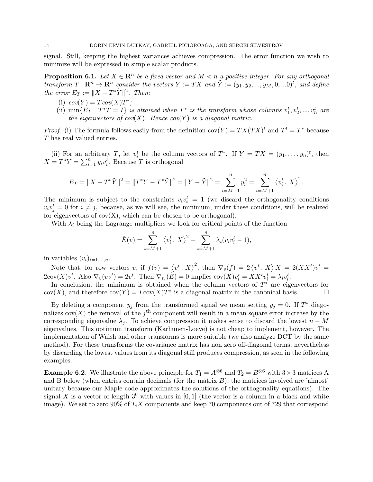signal. Still, keeping the highest variances achieves compression. The error function we wish to minimize will be expressed in simple scalar products.

**Proposition 6.1.** Let  $X \in \mathbb{R}^n$  be a fixed vector and  $M < n$  a positive integer. For any orthogonal transform  $T: \mathbf{R}^n \to \mathbf{R}^n$  consider the vectors  $Y := TX$  and  $\tilde{Y} := (y_1, y_2, ..., y_M, 0, ...0)^t$ , and define the error  $E_T := ||X - T^*\tilde{Y}||^2$ . Then:

- (i)  $cov(Y) = Tcov(X)T^*;$
- (ii)  $\min\{E_T \mid T^*T = I\}$  is attained when  $T^*$  is the transform whose columns  $v_1^t, v_2^t, ..., v_n^t$  are the eigenvectors of  $cov(X)$ . Hence  $cov(Y)$  is a diagonal matrix.

*Proof.* (i) The formula follows easily from the definition  $cov(Y) = TX(TX)^t$  and  $T^t = T^*$  because T has real valued entries.

(ii) For an arbitrary T, let  $v_i^t$  be the column vectors of  $T^*$ . If  $Y = TX = (y_1, \ldots, y_n)^t$ , then  $X = T^*Y = \sum_{i=1}^n y_i v_i^t$ . Because T is orthogonal

$$
E_T = \|X - T^*\tilde{Y}\|^2 = \|T^*Y - T^*\tilde{Y}\|^2 = \|Y - \tilde{Y}\|^2 = \sum_{i=M+1}^n y_i^2 = \sum_{i=M+1}^n \left\langle v_i^t, X \right\rangle^2.
$$

The minimum is subject to the constraints  $v_i v_i^t = 1$  (we discard the orthogonality conditions  $v_i v_j^t = 0$  for  $i \neq j$ , because, as we will see, the minimum, under these conditions, will be realized for eigenvectors of  $cov(X)$ , which can be chosen to be orthogonal).

With  $\lambda_i$  being the Lagrange multipliers we look for critical points of the function

$$
\tilde{E}(v) = \sum_{i=M+1}^{n} \langle v_i^t, X \rangle^2 - \sum_{i=M+1}^{n} \lambda_i (v_i v_i^t - 1),
$$

in variables  $(v_i)_{i=1,\ldots,n}$ .

Note that, for row vectors v, if  $f(v) = \langle v^t, X \rangle^2$ , then  $\nabla_v(f) = 2 \langle v^t, X \rangle X = 2(XX^t)v^t =$  $2\text{cov}(X)v^t$ . Also  $\nabla_v(vv^t) = 2v^t$ . Then  $\nabla_{v_i}(\tilde{E}) = 0$  implies  $\text{cov}(X)v_i^t = XX^tv_i^t = \lambda_i v_i^t$ .

In conclusion, the minimum is obtained when the column vectors of  $T^*$  are eigenvectors for cov(X), and therefore  $cov(Y) = Tcov(X)T^*$  is a diagonal matrix in the canonical basis.

By deleting a component  $y_j$  from the transformed signal we mean setting  $y_j = 0$ . If  $T^*$  diagonalizes  $cov(X)$  the removal of the  $j<sup>th</sup>$  component will result in a mean square error increase by the corresponding eigenvalue  $\lambda_i$ . To achieve compression it makes sense to discard the lowest  $n - M$ eigenvalues. This optimum transform (Karhunen-Loeve) is not cheap to implement, however. The implementation of Walsh and other transforms is more suitable (we also analyze DCT by the same method). For these transforms the covariance matrix has non zero off-diagonal terms, nevertheless by discarding the lowest values from its diagonal still produces compression, as seen in the following examples.

**Example 6.2.** We illustrate the above principle for  $T_1 = A^{\otimes 6}$  and  $T_2 = B^{\otimes 6}$  with  $3 \times 3$  matrices A and B below (when entries contain decimals (for the matrix  $B$ ), the matrices involved are 'almost' unitary because our Maple code approximates the solutions of the orthogonality equations). The signal X is a vector of length  $3^6$  with values in [0, 1] (the vector is a column in a black and white image). We set to zero 90% of  $T_iX$  components and keep 70 components out of 729 that correspond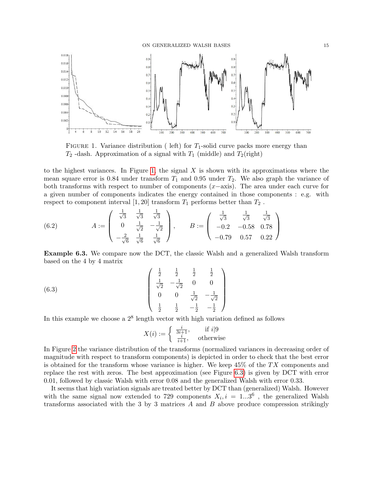

<span id="page-14-1"></span>FIGURE 1. Variance distribution ( left) for  $T_1$ -solid curve packs more energy than  $T_2$ -dash. Approximation of a signal with  $T_1$  (middle) and  $T_2$ (right)

to the highest variances. In Figure [1,](#page-14-1) the signal  $X$  is shown with its approximations where the mean square error is 0.84 under transform  $T_1$  and 0.95 under  $T_2$ . We also graph the variance of both transforms with respect to number of components  $(x-\alpha x)$ . The area under each curve for a given number of components indicates the energy contained in those components : e.g. with respect to component interval [1, 20] transform  $T_1$  performs better than  $T_2$ .

<span id="page-14-0"></span>(6.2) 
$$
A := \begin{pmatrix} \frac{1}{\sqrt{3}} & \frac{1}{\sqrt{3}} & \frac{1}{\sqrt{3}} \\ 0 & \frac{1}{\sqrt{2}} & -\frac{1}{\sqrt{2}} \\ -\frac{2}{\sqrt{6}} & \frac{1}{\sqrt{6}} & \frac{1}{\sqrt{6}} \end{pmatrix}, \qquad B := \begin{pmatrix} \frac{1}{\sqrt{3}} & \frac{1}{\sqrt{3}} & \frac{1}{\sqrt{3}} \\ -0.2 & -0.58 & 0.78 \\ -0.79 & 0.57 & 0.22 \end{pmatrix}
$$

Example 6.3. We compare now the DCT, the classic Walsh and a generalized Walsh transform based on the 4 by 4 matrix

(6.3) 
$$
\begin{pmatrix}\n\frac{1}{2} & \frac{1}{2} & \frac{1}{2} & \frac{1}{2} \\
\frac{1}{\sqrt{2}} & -\frac{1}{\sqrt{2}} & 0 & 0 \\
0 & 0 & \frac{1}{\sqrt{2}} & -\frac{1}{\sqrt{2}} \\
\frac{1}{2} & \frac{1}{2} & -\frac{1}{2} & -\frac{1}{2}\n\end{pmatrix}
$$

In this example we choose a  $2^8$  length vector with high variation defined as follows

$$
X(i):=\left\{\begin{array}{cc} \frac{i}{3i+1},& \text{ if }i|9\\ \frac{i}{i+1},& \text{ otherwise} \end{array}\right.
$$

In Figure [2](#page-15-0) the variance distribution of the transforms (normalized variances in decreasing order of magnitude with respect to transform components) is depicted in order to check that the best error is obtained for the transform whose variance is higher. We keep  $45\%$  of the TX components and replace the rest with zeros. The best approximation (see Figure [6.3\)](#page-15-0) is given by DCT with error 0.01, followed by classic Walsh with error 0.08 and the generalized Walsh with error 0.33.

It seems that high variation signals are treated better by DCT than (generalized) Walsh. However with the same signal now extended to 729 components  $X_i, i = 1...3^6$ , the generalized Walsh transforms associated with the 3 by 3 matrices  $A$  and  $B$  above produce compression strikingly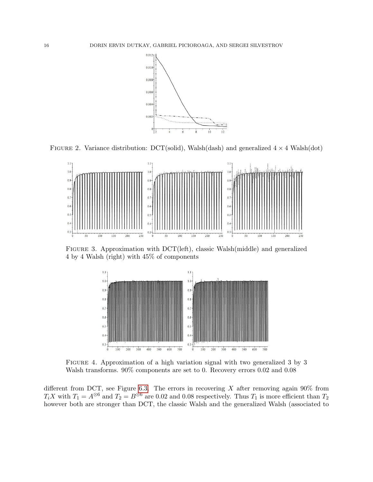

FIGURE 2. Variance distribution: DCT(solid), Walsh(dash) and generalized  $4 \times 4$  Walsh(dot)

<span id="page-15-0"></span>

Figure 3. Approximation with DCT(left), classic Walsh(middle) and generalized 4 by 4 Walsh (right) with 45% of components

<span id="page-15-1"></span>

Figure 4. Approximation of a high variation signal with two generalized 3 by 3 Walsh transforms. 90% components are set to 0. Recovery errors 0.02 and 0.08

different from DCT, see Figure [6.3.](#page-15-1) The errors in recovering X after removing again  $90\%$  from T<sub>i</sub>X with  $T_1 = A^{\otimes 6}$  and  $T_2 = B^{\otimes 6}$  are 0.02 and 0.08 respectively. Thus  $T_1$  is more efficient than  $T_2$ however both are stronger than DCT, the classic Walsh and the generalized Walsh (associated to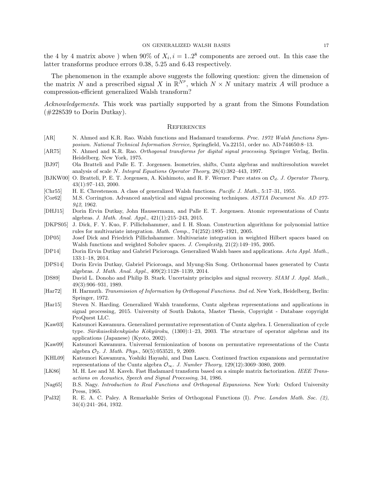#### ON GENERALIZED WALSH BASES 17

the 4 by 4 matrix above) when 90% of  $X_i$ ,  $i = 1..2^8$  components are zeroed out. In this case the latter transforms produce errors 0.38, 5.25 and 6.43 respectively.

The phenomenon in the example above suggests the following question: given the dimension of the matrix N and a prescribed signal X in  $\mathbb{R}^{N_p}$ , which  $N \times N$  unitary matrix A will produce a compression-efficient generalized Walsh transform?

Acknowledgements. This work was partially supported by a grant from the Simons Foundation  $(\text{\#228539 to Dorin Dutkay}).$ 

### <span id="page-16-1"></span>**REFERENCES**

- <span id="page-16-2"></span>[AR] N. Ahmed and K.R. Rao. Walsh functions and Hadamard transforms. Proc. 1972 Walsh functions Symposium. National Technical Information Service, Springfield, Va.22151, order no. AD-744650:8–13.
- <span id="page-16-20"></span>[AR75] N. Ahmed and K.R. Rao. Orthogonal transforms for digital signal processing. Springer Verlag, Berlin. Heidelberg. New York, 1975.
- <span id="page-16-14"></span>[BJ97] Ola Bratteli and Palle E. T. Jorgensen. Isometries, shifts, Cuntz algebras and multiresolution wavelet analysis of scale N. Integral Equations Operator Theory, 28(4):382–443, 1997.
- <span id="page-16-19"></span>[BJKW00] O. Bratteli, P. E. T. Jorgensen, A. Kishimoto, and R. F. Werner. Pure states on  $\mathcal{O}_d$ . J. Operator Theory, 43(1):97–143, 2000.
- <span id="page-16-7"></span>[Chr55] H. E. Chrestenson. A class of generalized Walsh functions. Pacific J. Math., 5:17–31, 1955.
- <span id="page-16-3"></span>[Cor62] M.S. Corrington. Advanced analytical and signal processing techniques. ASTIA Document No. AD 277- 942, 1962.
- <span id="page-16-15"></span>[DHJ15] Dorin Ervin Dutkay, John Haussermann, and Palle E. T. Jorgensen. Atomic representations of Cuntz algebras. J. Math. Anal. Appl., 421(1):215–243, 2015.
- <span id="page-16-9"></span>[DKPS05] J. Dick, F. Y. Kuo, F. Pillichshammer, and I. H. Sloan. Construction algorithms for polynomial lattice rules for multivariate integration. Math. Comp., 74(252):1895–1921, 2005.
- <span id="page-16-8"></span>[DP05] Josef Dick and Friedrich Pillichshammer. Multivariate integration in weighted Hilbert spaces based on Walsh functions and weighted Sobolev spaces. J. Complexity, 21(2):149-195, 2005.
- <span id="page-16-10"></span>[DP14] Dorin Ervin Dutkay and Gabriel Picioroaga. Generalized Walsh bases and applications. Acta Appl. Math., 133:1–18, 2014.
- <span id="page-16-0"></span>[DPS14] Dorin Ervin Dutkay, Gabriel Picioroaga, and Myung-Sin Song. Orthonormal bases generated by Cuntz algebras. J. Math. Anal. Appl., 409(2):1128–1139, 2014.
- <span id="page-16-13"></span>[DS89] David L. Donoho and Philip B. Stark. Uncertainty principles and signal recovery. SIAM J. Appl. Math., 49(3):906–931, 1989.
- <span id="page-16-4"></span>[Har72] H. Harmuth. Transmission of Information by Orthogonal Functions. 2nd ed. New York, Heidelberg, Berlin: Springer, 1972.
- <span id="page-16-11"></span>[Har15] Steven N. Harding. Generalized Walsh transforms, Cuntz algebras representations and applications in signal processing, 2015. University of South Dakota, Master Thesis, Copyright - Database copyright ProQuest LLC.
- <span id="page-16-16"></span>[Kaw03] Katsunori Kawamura. Generalized permutative representation of Cuntz algebra. I. Generalization of cycle type. Sūrikaisekikenkyūsho Kōkyūroku, (1300):1–23, 2003. The structure of operator algebras and its applications (Japanese) (Kyoto, 2002).
- <span id="page-16-17"></span>[Kaw09] Katsunori Kawamura. Universal fermionization of bosons on permutative representations of the Cuntz algebra  $\mathcal{O}_2$ . J. Math. Phys., 50(5):053521, 9, 2009.
- <span id="page-16-18"></span>[KHL09] Katsunori Kawamura, Yoshiki Hayashi, and Dan Lascu. Continued fraction expansions and permutative representations of the Cuntz algebra  $\mathcal{O}_{\infty}$ . J. Number Theory, 129(12):3069–3080, 2009.
- <span id="page-16-12"></span>[LK86] M. H. Lee and M. Kaveh. Fast Hadamard transform based on a simple matrix factorization. IEEE Transactions on Acoustics, Speech and Signal Processing, 34, 1986.
- <span id="page-16-6"></span>[Nag65] B.S. Nagy. Introduction to Real Functions and Orthogonal Expansions. New York: Oxford University Press, 1965.
- <span id="page-16-5"></span>[Pal32] R. E. A. C. Paley. A Remarkable Series of Orthogonal Functions (I). Proc. London Math. Soc. (2), 34(4):241–264, 1932.